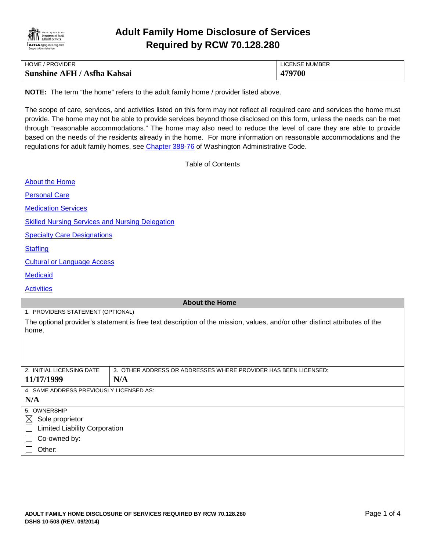

# **Adult Family Home Disclosure of Services Required by RCW 70.128.280**

| <b>HOME / PROVIDER</b>             | LICENSE NUMBER |
|------------------------------------|----------------|
| <b>Sunshine AFH / Asfha Kahsai</b> | 479700         |

**NOTE:** The term "the home" refers to the adult family home / provider listed above.

The scope of care, services, and activities listed on this form may not reflect all required care and services the home must provide. The home may not be able to provide services beyond those disclosed on this form, unless the needs can be met through "reasonable accommodations." The home may also need to reduce the level of care they are able to provide based on the needs of the residents already in the home. For more information on reasonable accommodations and the regulations for adult family homes, see [Chapter 388-76](http://apps.leg.wa.gov/WAC/default.aspx?cite=388-76) of Washington Administrative Code.

<span id="page-0-0"></span>Table of Contents

| <b>About the Home</b>                                                                                                               |                                                                 |  |
|-------------------------------------------------------------------------------------------------------------------------------------|-----------------------------------------------------------------|--|
| <b>Personal Care</b>                                                                                                                |                                                                 |  |
| <b>Medication Services</b>                                                                                                          |                                                                 |  |
| <b>Skilled Nursing Services and Nursing Delegation</b>                                                                              |                                                                 |  |
| <b>Specialty Care Designations</b>                                                                                                  |                                                                 |  |
| <b>Staffing</b>                                                                                                                     |                                                                 |  |
| <b>Cultural or Language Access</b>                                                                                                  |                                                                 |  |
| <b>Medicaid</b>                                                                                                                     |                                                                 |  |
| <b>Activities</b>                                                                                                                   |                                                                 |  |
| <b>About the Home</b>                                                                                                               |                                                                 |  |
| 1. PROVIDERS STATEMENT (OPTIONAL)                                                                                                   |                                                                 |  |
| The optional provider's statement is free text description of the mission, values, and/or other distinct attributes of the<br>home. |                                                                 |  |
|                                                                                                                                     |                                                                 |  |
|                                                                                                                                     |                                                                 |  |
| 2. INITIAL LICENSING DATE                                                                                                           | 3. OTHER ADDRESS OR ADDRESSES WHERE PROVIDER HAS BEEN LICENSED: |  |
| 11/17/1999                                                                                                                          | N/A                                                             |  |
| 4. SAME ADDRESS PREVIOUSLY LICENSED AS:                                                                                             |                                                                 |  |
| N/A                                                                                                                                 |                                                                 |  |
| 5. OWNERSHIP                                                                                                                        |                                                                 |  |
| $\boxtimes$<br>Sole proprietor                                                                                                      |                                                                 |  |
| <b>Limited Liability Corporation</b>                                                                                                |                                                                 |  |

Co-owned by:

Other:

⊔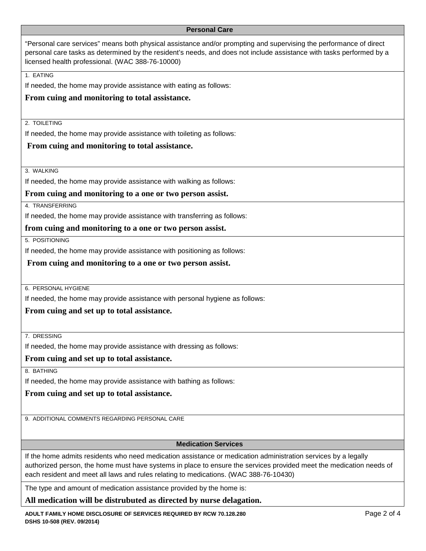#### <span id="page-1-0"></span>**Personal Care**

"Personal care services" means both physical assistance and/or prompting and supervising the performance of direct personal care tasks as determined by the resident's needs, and does not include assistance with tasks performed by a licensed health professional. (WAC 388-76-10000)

1. EATING

If needed, the home may provide assistance with eating as follows:

# **From cuing and monitoring to total assistance.**

2. TOILETING

If needed, the home may provide assistance with toileting as follows:

# **From cuing and monitoring to total assistance.**

3. WALKING

If needed, the home may provide assistance with walking as follows:

**From cuing and monitoring to a one or two person assist.**

4. TRANSFERRING

If needed, the home may provide assistance with transferring as follows:

## **from cuing and monitoring to a one or two person assist.**

5. POSITIONING

If needed, the home may provide assistance with positioning as follows:

**From cuing and monitoring to a one or two person assist.** 

6. PERSONAL HYGIENE

If needed, the home may provide assistance with personal hygiene as follows:

**From cuing and set up to total assistance.** 

7. DRESSING

If needed, the home may provide assistance with dressing as follows:

**From cuing and set up to total assistance.**

8. BATHING

If needed, the home may provide assistance with bathing as follows:

**From cuing and set up to total assistance.** 

9. ADDITIONAL COMMENTS REGARDING PERSONAL CARE

## <span id="page-1-1"></span>**Medication Services**

If the home admits residents who need medication assistance or medication administration services by a legally authorized person, the home must have systems in place to ensure the services provided meet the medication needs of each resident and meet all laws and rules relating to medications. (WAC 388-76-10430)

The type and amount of medication assistance provided by the home is:

**All medication will be distrubuted as directed by nurse delagation.**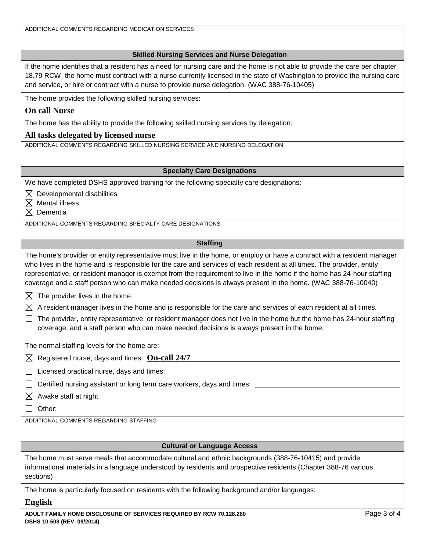<span id="page-2-3"></span><span id="page-2-2"></span><span id="page-2-1"></span><span id="page-2-0"></span>

| ADDITIONAL COMMENTS REGARDING MEDICATION SERVICES                                                                                                                                                                                                                                                                                                                                                                                                                                            |  |
|----------------------------------------------------------------------------------------------------------------------------------------------------------------------------------------------------------------------------------------------------------------------------------------------------------------------------------------------------------------------------------------------------------------------------------------------------------------------------------------------|--|
|                                                                                                                                                                                                                                                                                                                                                                                                                                                                                              |  |
| <b>Skilled Nursing Services and Nurse Delegation</b>                                                                                                                                                                                                                                                                                                                                                                                                                                         |  |
| If the home identifies that a resident has a need for nursing care and the home is not able to provide the care per chapter<br>18.79 RCW, the home must contract with a nurse currently licensed in the state of Washington to provide the nursing care<br>and service, or hire or contract with a nurse to provide nurse delegation. (WAC 388-76-10405)                                                                                                                                     |  |
| The home provides the following skilled nursing services:                                                                                                                                                                                                                                                                                                                                                                                                                                    |  |
| <b>On call Nurse</b>                                                                                                                                                                                                                                                                                                                                                                                                                                                                         |  |
| The home has the ability to provide the following skilled nursing services by delegation:                                                                                                                                                                                                                                                                                                                                                                                                    |  |
| All tasks delegated by licensed nurse                                                                                                                                                                                                                                                                                                                                                                                                                                                        |  |
| ADDITIONAL COMMENTS REGARDING SKILLED NURSING SERVICE AND NURSING DELEGATION                                                                                                                                                                                                                                                                                                                                                                                                                 |  |
|                                                                                                                                                                                                                                                                                                                                                                                                                                                                                              |  |
| <b>Specialty Care Designations</b>                                                                                                                                                                                                                                                                                                                                                                                                                                                           |  |
| We have completed DSHS approved training for the following specialty care designations:                                                                                                                                                                                                                                                                                                                                                                                                      |  |
| Developmental disabilities<br>$\boxtimes$<br><b>Mental illness</b><br>$\bowtie$                                                                                                                                                                                                                                                                                                                                                                                                              |  |
| Dementia<br>$\bowtie$                                                                                                                                                                                                                                                                                                                                                                                                                                                                        |  |
| ADDITIONAL COMMENTS REGARDING SPECIALTY CARE DESIGNATIONS                                                                                                                                                                                                                                                                                                                                                                                                                                    |  |
|                                                                                                                                                                                                                                                                                                                                                                                                                                                                                              |  |
| <b>Staffing</b>                                                                                                                                                                                                                                                                                                                                                                                                                                                                              |  |
| The home's provider or entity representative must live in the home, or employ or have a contract with a resident manager<br>who lives in the home and is responsible for the care and services of each resident at all times. The provider, entity<br>representative, or resident manager is exempt from the requirement to live in the home if the home has 24-hour staffing<br>coverage and a staff person who can make needed decisions is always present in the home. (WAC 388-76-10040) |  |
| The provider lives in the home.<br>$\bowtie$                                                                                                                                                                                                                                                                                                                                                                                                                                                 |  |
| A resident manager lives in the home and is responsible for the care and services of each resident at all times.<br>$\boxtimes$                                                                                                                                                                                                                                                                                                                                                              |  |
| The provider, entity representative, or resident manager does not live in the home but the home has 24-hour staffing<br>coverage, and a staff person who can make needed decisions is always present in the home.                                                                                                                                                                                                                                                                            |  |
| The normal staffing levels for the home are:                                                                                                                                                                                                                                                                                                                                                                                                                                                 |  |
| Registered nurse, days and times: On-call 24/7<br>$\boxtimes$                                                                                                                                                                                                                                                                                                                                                                                                                                |  |
| Licensed practical nurse, days and times:                                                                                                                                                                                                                                                                                                                                                                                                                                                    |  |
| Certified nursing assistant or long term care workers, days and times:                                                                                                                                                                                                                                                                                                                                                                                                                       |  |
| Awake staff at night<br>⋉                                                                                                                                                                                                                                                                                                                                                                                                                                                                    |  |
| Other:                                                                                                                                                                                                                                                                                                                                                                                                                                                                                       |  |
| ADDITIONAL COMMENTS REGARDING STAFFING                                                                                                                                                                                                                                                                                                                                                                                                                                                       |  |
|                                                                                                                                                                                                                                                                                                                                                                                                                                                                                              |  |
| <b>Cultural or Language Access</b>                                                                                                                                                                                                                                                                                                                                                                                                                                                           |  |
| The home must serve meals that accommodate cultural and ethnic backgrounds (388-76-10415) and provide<br>informational materials in a language understood by residents and prospective residents (Chapter 388-76 various<br>sections)                                                                                                                                                                                                                                                        |  |
| The home is particularly focused on residents with the following background and/or languages:                                                                                                                                                                                                                                                                                                                                                                                                |  |
| <b>English</b>                                                                                                                                                                                                                                                                                                                                                                                                                                                                               |  |